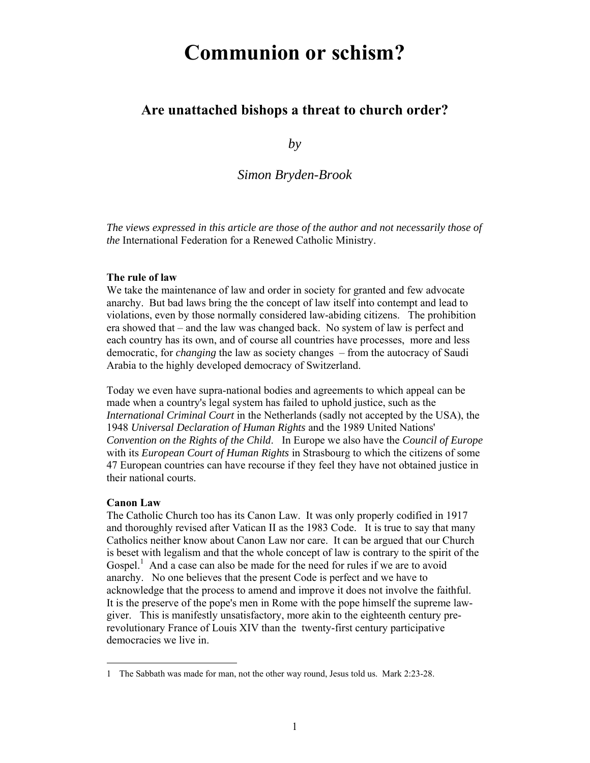# **Communion or schism?**

# **Are unattached bishops a threat to church order?**

*by* 

*Simon Bryden-Brook*

*The views expressed in this article are those of the author and not necessarily those of the* International Federation for a Renewed Catholic Ministry.

#### **The rule of law**

We take the maintenance of law and order in society for granted and few advocate anarchy. But bad laws bring the the concept of law itself into contempt and lead to violations, even by those normally considered law-abiding citizens. The prohibition era showed that – and the law was changed back. No system of law is perfect and each country has its own, and of course all countries have processes, more and less democratic, for *changing* the law as society changes – from the autocracy of Saudi Arabia to the highly developed democracy of Switzerland.

Today we even have supra-national bodies and agreements to which appeal can be made when a country's legal system has failed to uphold justice, such as the *International Criminal Court* in the Netherlands (sadly not accepted by the USA), the 1948 *Universal Declaration of Human Rights* and the 1989 United Nations' *Convention on the Rights of the Child*. In Europe we also have the *Council of Europe*  with its *European Court of Human Rights* in Strasbourg to which the citizens of some 47 European countries can have recourse if they feel they have not obtained justice in their national courts.

#### **Canon Law**

 $\overline{\phantom{a}}$ 

The Catholic Church too has its Canon Law. It was only properly codified in 1917 and thoroughly revised after Vatican II as the 1983 Code. It is true to say that many Catholics neither know about Canon Law nor care. It can be argued that our Church is beset with legalism and that the whole concept of law is contrary to the spirit of the Gospel.<sup>1</sup> And a case can also be made for the need for rules if we are to avoid anarchy. No one believes that the present Code is perfect and we have to acknowledge that the process to amend and improve it does not involve the faithful. It is the preserve of the pope's men in Rome with the pope himself the supreme lawgiver. This is manifestly unsatisfactory, more akin to the eighteenth century prerevolutionary France of Louis XIV than the twenty-first century participative democracies we live in.

<sup>1</sup> The Sabbath was made for man, not the other way round, Jesus told us. Mark 2:23-28.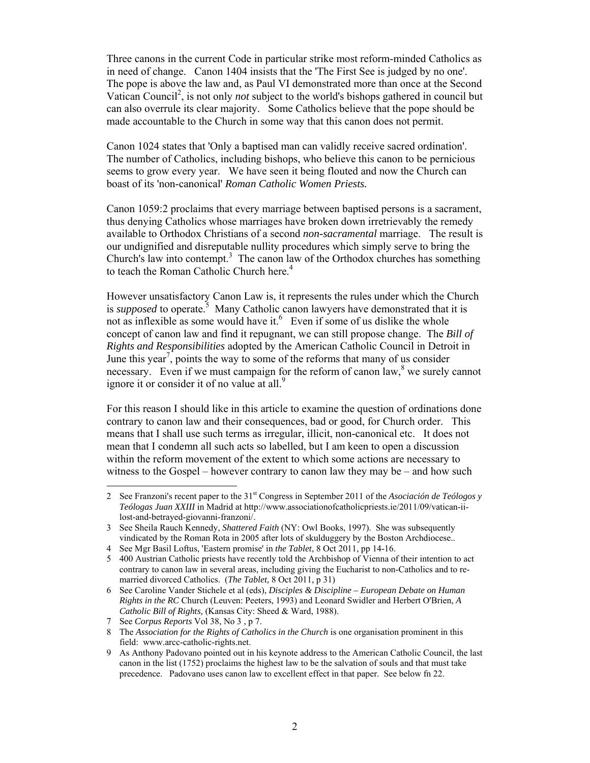Three canons in the current Code in particular strike most reform-minded Catholics as in need of change. Canon 1404 insists that the 'The First See is judged by no one'. The pope is above the law and, as Paul VI demonstrated more than once at the Second Vatican Council<sup>2</sup>, is not only *not* subject to the world's bishops gathered in council but can also overrule its clear majority. Some Catholics believe that the pope should be made accountable to the Church in some way that this canon does not permit.

Canon 1024 states that 'Only a baptised man can validly receive sacred ordination'. The number of Catholics, including bishops, who believe this canon to be pernicious seems to grow every year. We have seen it being flouted and now the Church can boast of its 'non-canonical' *Roman Catholic Women Priests.*

Canon 1059:2 proclaims that every marriage between baptised persons is a sacrament, thus denying Catholics whose marriages have broken down irretrievably the remedy available to Orthodox Christians of a second *non-sacramental* marriage. The result is our undignified and disreputable nullity procedures which simply serve to bring the Church's law into contempt.<sup>3</sup>The canon law of the Orthodox churches has something to teach the Roman Catholic Church here.<sup>4</sup>

However unsatisfactory Canon Law is, it represents the rules under which the Church is *supposed* to operate.<sup>5</sup> Many Catholic canon lawyers have demonstrated that it is not as inflexible as some would have it. $<sup>6</sup>$  Even if some of us dislike the whole</sup> concept of canon law and find it repugnant, we can still propose change. The *Bill of Rights and Responsibilities* adopted by the American Catholic Council in Detroit in June this year<sup>7</sup>, points the way to some of the reforms that many of us consider necessary. Even if we must campaign for the reform of canon law,  $8$  we surely cannot ignore it or consider it of no value at all. $9$ 

For this reason I should like in this article to examine the question of ordinations done contrary to canon law and their consequences, bad or good, for Church order. This means that I shall use such terms as irregular, illicit, non-canonical etc. It does not mean that I condemn all such acts so labelled, but I am keen to open a discussion within the reform movement of the extent to which some actions are necessary to witness to the Gospel – however contrary to canon law they may be – and how such

 $\overline{a}$ 

<sup>2</sup> See Franzoni's recent paper to the 31st Congress in September 2011 of the *Asociación de Teólogos y Teólogas Juan XXIII* in Madrid at http://www.associationofcatholicpriests.ie/2011/09/vatican-iilost-and-betrayed-giovanni-franzoni/.

<sup>3</sup> See Sheila Rauch Kennedy, *Shattered Faith* (NY: Owl Books, 1997). She was subsequently vindicated by the Roman Rota in 2005 after lots of skulduggery by the Boston Archdiocese..

<sup>4</sup> See Mgr Basil Loftus, 'Eastern promise' in *the Tablet*, 8 Oct 2011, pp 14-16.

<sup>5 400</sup> Austrian Catholic priests have recently told the Archbishop of Vienna of their intention to act contrary to canon law in several areas, including giving the Eucharist to non-Catholics and to remarried divorced Catholics. (*The Tablet,* 8 Oct 2011, p 31)

<sup>6</sup> See Caroline Vander Stichele et al (eds), *Disciples & Discipline – European Debate on Human Rights in the RC* Church (Leuven: Peeters, 1993) and Leonard Swidler and Herbert O'Brien, *A Catholic Bill of Rights,* (Kansas City: Sheed & Ward, 1988).

<sup>7</sup> See *Corpus Reports* Vol 38, No 3 , p 7.

<sup>8</sup> The *Association for the Rights of Catholics in the Church* is one organisation prominent in this field: www.arcc-catholic-rights.net.

<sup>9</sup> As Anthony Padovano pointed out in his keynote address to the American Catholic Council, the last canon in the list (1752) proclaims the highest law to be the salvation of souls and that must take precedence. Padovano uses canon law to excellent effect in that paper. See below fn 22.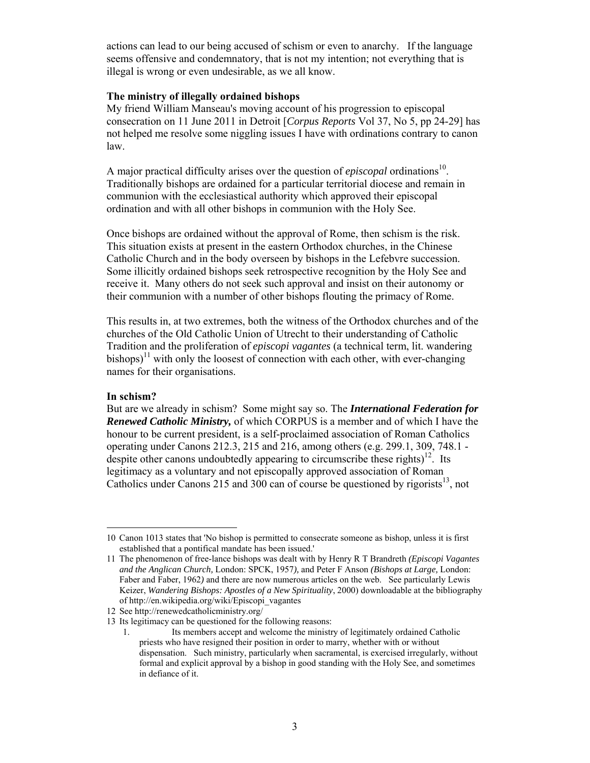actions can lead to our being accused of schism or even to anarchy. If the language seems offensive and condemnatory, that is not my intention; not everything that is illegal is wrong or even undesirable, as we all know.

#### **The ministry of illegally ordained bishops**

My friend William Manseau's moving account of his progression to episcopal consecration on 11 June 2011 in Detroit [*Corpus Reports* Vol 37, No 5, pp 24-29] has not helped me resolve some niggling issues I have with ordinations contrary to canon law.

A major practical difficulty arises over the question of *episcopal* ordinations<sup>10</sup>. Traditionally bishops are ordained for a particular territorial diocese and remain in communion with the ecclesiastical authority which approved their episcopal ordination and with all other bishops in communion with the Holy See.

Once bishops are ordained without the approval of Rome, then schism is the risk. This situation exists at present in the eastern Orthodox churches, in the Chinese Catholic Church and in the body overseen by bishops in the Lefebvre succession. Some illicitly ordained bishops seek retrospective recognition by the Holy See and receive it. Many others do not seek such approval and insist on their autonomy or their communion with a number of other bishops flouting the primacy of Rome.

This results in, at two extremes, both the witness of the Orthodox churches and of the churches of the Old Catholic Union of Utrecht to their understanding of Catholic Tradition and the proliferation of *episcopi vagantes* (a technical term, lit. wandering bishops)<sup>11</sup> with only the loosest of connection with each other, with ever-changing names for their organisations.

#### **In schism?**

 $\overline{\phantom{a}}$ 

But are we already in schism? Some might say so. The *International Federation for Renewed Catholic Ministry,* of which CORPUS is a member and of which I have the honour to be current president, is a self-proclaimed association of Roman Catholics operating under Canons 212.3, 215 and 216, among others (e.g. 299.1, 309, 748.1 despite other canons undoubtedly appearing to circumscribe these rights)<sup>12</sup>. Its legitimacy as a voluntary and not episcopally approved association of Roman Catholics under Canons 215 and 300 can of course be questioned by rigorists<sup>13</sup>, not

<sup>10</sup> Canon 1013 states that 'No bishop is permitted to consecrate someone as bishop, unless it is first established that a pontifical mandate has been issued.'

<sup>11</sup> The phenomenon of free-lance bishops was dealt with by Henry R T Brandreth *(Episcopi Vagantes and the Anglican Church,* London: SPCK, 1957*),* and Peter F Anson *(Bishops at Large,* London: Faber and Faber, 1962*)* and there are now numerous articles on the web. See particularly Lewis Keizer, *Wandering Bishops: Apostles of a New Spirituality*, 2000) downloadable at the bibliography of http://en.wikipedia.org/wiki/Episcopi\_vagantes

<sup>12</sup> See http://renewedcatholicministry.org/

<sup>13</sup> Its legitimacy can be questioned for the following reasons:

<sup>1.</sup> Its members accept and welcome the ministry of legitimately ordained Catholic priests who have resigned their position in order to marry, whether with or without dispensation. Such ministry, particularly when sacramental, is exercised irregularly, without formal and explicit approval by a bishop in good standing with the Holy See, and sometimes in defiance of it.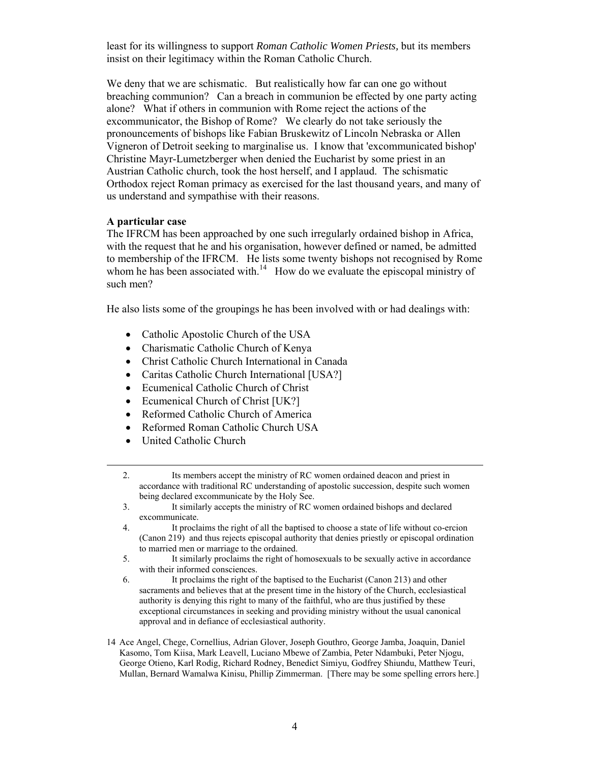least for its willingness to support *Roman Catholic Women Priests,* but its members insist on their legitimacy within the Roman Catholic Church.

We deny that we are schismatic. But realistically how far can one go without breaching communion? Can a breach in communion be effected by one party acting alone? What if others in communion with Rome reject the actions of the excommunicator, the Bishop of Rome? We clearly do not take seriously the pronouncements of bishops like Fabian Bruskewitz of Lincoln Nebraska or Allen Vigneron of Detroit seeking to marginalise us. I know that 'excommunicated bishop' Christine Mayr-Lumetzberger when denied the Eucharist by some priest in an Austrian Catholic church, took the host herself, and I applaud. The schismatic Orthodox reject Roman primacy as exercised for the last thousand years, and many of us understand and sympathise with their reasons.

#### **A particular case**

The IFRCM has been approached by one such irregularly ordained bishop in Africa, with the request that he and his organisation, however defined or named, be admitted to membership of the IFRCM. He lists some twenty bishops not recognised by Rome whom he has been associated with.<sup>14</sup> How do we evaluate the episcopal ministry of such men?

He also lists some of the groupings he has been involved with or had dealings with:

- Catholic Apostolic Church of the USA
- Charismatic Catholic Church of Kenya
- Christ Catholic Church International in Canada
- Caritas Catholic Church International [USA?]
- Ecumenical Catholic Church of Christ
- Ecumenical Church of Christ [UK?]
- Reformed Catholic Church of America
- Reformed Roman Catholic Church USA
- United Catholic Church
- 2. Its members accept the ministry of RC women ordained deacon and priest in accordance with traditional RC understanding of apostolic succession, despite such women being declared excommunicate by the Holy See.
- 3. It similarly accepts the ministry of RC women ordained bishops and declared excommunicate.
- 4. It proclaims the right of all the baptised to choose a state of life without co-ercion (Canon 219) and thus rejects episcopal authority that denies priestly or episcopal ordination to married men or marriage to the ordained.
- 5. It similarly proclaims the right of homosexuals to be sexually active in accordance with their informed consciences.
- 6. It proclaims the right of the baptised to the Eucharist (Canon 213) and other sacraments and believes that at the present time in the history of the Church, ecclesiastical authority is denying this right to many of the faithful, who are thus justified by these exceptional circumstances in seeking and providing ministry without the usual canonical approval and in defiance of ecclesiastical authority.
- 14 Ace Angel, Chege, Cornellius, Adrian Glover, Joseph Gouthro, George Jamba, Joaquin, Daniel Kasomo, Tom Kiisa, Mark Leavell, Luciano Mbewe of Zambia, Peter Ndambuki, Peter Njogu, George Otieno, Karl Rodig, Richard Rodney, Benedict Simiyu, Godfrey Shiundu, Matthew Teuri, Mullan, Bernard Wamalwa Kinisu, Phillip Zimmerman. [There may be some spelling errors here.]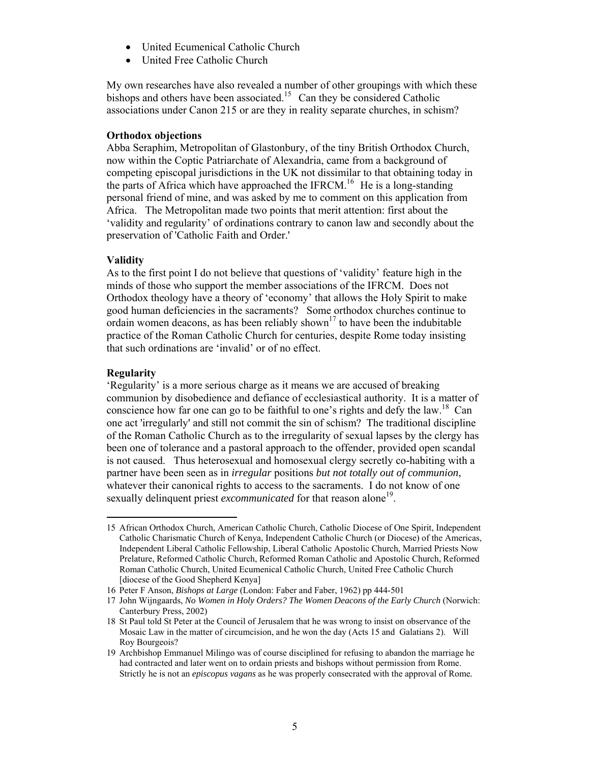- United Ecumenical Catholic Church
- United Free Catholic Church

My own researches have also revealed a number of other groupings with which these bishops and others have been associated.<sup>15</sup> Can they be considered Catholic associations under Canon 215 or are they in reality separate churches, in schism?

#### **Orthodox objections**

Abba Seraphim, Metropolitan of Glastonbury, of the tiny British Orthodox Church, now within the Coptic Patriarchate of Alexandria, came from a background of competing episcopal jurisdictions in the UK not dissimilar to that obtaining today in the parts of Africa which have approached the IFRCM.<sup>16</sup> He is a long-standing personal friend of mine, and was asked by me to comment on this application from Africa. The Metropolitan made two points that merit attention: first about the 'validity and regularity' of ordinations contrary to canon law and secondly about the preservation of 'Catholic Faith and Order.'

# **Validity**

As to the first point I do not believe that questions of 'validity' feature high in the minds of those who support the member associations of the IFRCM. Does not Orthodox theology have a theory of 'economy' that allows the Holy Spirit to make good human deficiencies in the sacraments? Some orthodox churches continue to ordain women deacons, as has been reliably shown<sup>17</sup> to have been the indubitable practice of the Roman Catholic Church for centuries, despite Rome today insisting that such ordinations are 'invalid' or of no effect.

# **Regularity**

'Regularity' is a more serious charge as it means we are accused of breaking communion by disobedience and defiance of ecclesiastical authority. It is a matter of conscience how far one can go to be faithful to one's rights and defy the law.<sup>18</sup> Can one act 'irregularly' and still not commit the sin of schism? The traditional discipline of the Roman Catholic Church as to the irregularity of sexual lapses by the clergy has been one of tolerance and a pastoral approach to the offender, provided open scandal is not caused. Thus heterosexual and homosexual clergy secretly co-habiting with a partner have been seen as in *irregular* positions *but not totally out of communion*, whatever their canonical rights to access to the sacraments. I do not know of one sexually delinquent priest *excommunicated* for that reason alone<sup>19</sup>.

 $\overline{\phantom{a}}$ 15 African Orthodox Church, American Catholic Church, Catholic Diocese of One Spirit, Independent Catholic Charismatic Church of Kenya, Independent Catholic Church (or Diocese) of the Americas, Independent Liberal Catholic Fellowship, Liberal Catholic Apostolic Church, Married Priests Now Prelature, Reformed Catholic Church, Reformed Roman Catholic and Apostolic Church, Reformed Roman Catholic Church, United Ecumenical Catholic Church, United Free Catholic Church [diocese of the Good Shepherd Kenya]

<sup>16</sup> Peter F Anson, *Bishops at Large* (London: Faber and Faber, 1962) pp 444-501

<sup>17</sup> John Wijngaards, *No Women in Holy Orders? The Women Deacons of the Early Church* (Norwich: Canterbury Press, 2002)

<sup>18</sup> St Paul told St Peter at the Council of Jerusalem that he was wrong to insist on observance of the Mosaic Law in the matter of circumcision, and he won the day (Acts 15 and Galatians 2). Will Roy Bourgeois?

<sup>19</sup> Archbishop Emmanuel Milingo was of course disciplined for refusing to abandon the marriage he had contracted and later went on to ordain priests and bishops without permission from Rome. Strictly he is not an *episcopus vagans* as he was properly consecrated with the approval of Rome*.*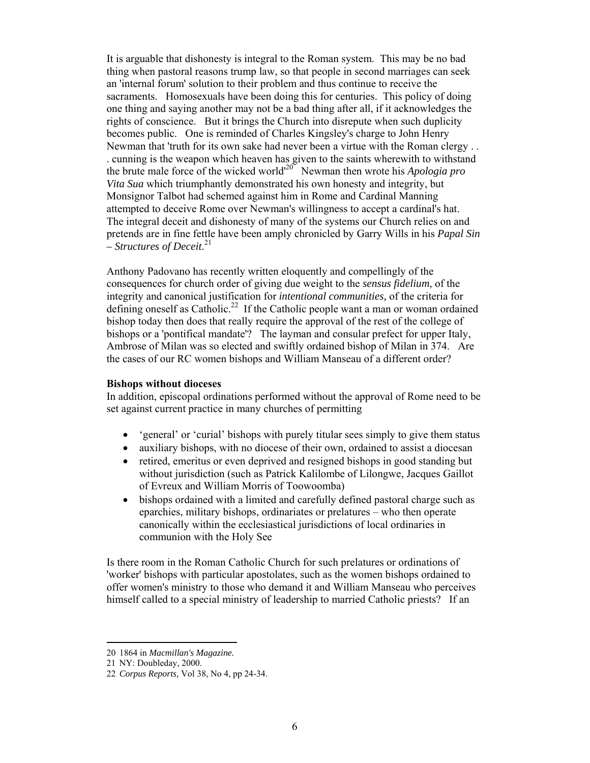It is arguable that dishonesty is integral to the Roman system. This may be no bad thing when pastoral reasons trump law, so that people in second marriages can seek an 'internal forum' solution to their problem and thus continue to receive the sacraments. Homosexuals have been doing this for centuries. This policy of doing one thing and saying another may not be a bad thing after all, if it acknowledges the rights of conscience. But it brings the Church into disrepute when such duplicity becomes public. One is reminded of Charles Kingsley's charge to John Henry Newman that 'truth for its own sake had never been a virtue with the Roman clergy . . . cunning is the weapon which heaven has given to the saints wherewith to withstand the brute male force of the wicked world'20 Newman then wrote his *Apologia pro Vita Sua* which triumphantly demonstrated his own honesty and integrity, but Monsignor Talbot had schemed against him in Rome and Cardinal Manning attempted to deceive Rome over Newman's willingness to accept a cardinal's hat. The integral deceit and dishonesty of many of the systems our Church relies on and pretends are in fine fettle have been amply chronicled by Garry Wills in his *Papal Sin – Structures of Deceit*. 21

Anthony Padovano has recently written eloquently and compellingly of the consequences for church order of giving due weight to the *sensus fidelium*, of the integrity and canonical justification for *intentional communities,* of the criteria for defining oneself as Catholic.<sup>22</sup> If the Catholic people want a man or woman ordained bishop today then does that really require the approval of the rest of the college of bishops or a 'pontifical mandate'? The layman and consular prefect for upper Italy, Ambrose of Milan was so elected and swiftly ordained bishop of Milan in 374. Are the cases of our RC women bishops and William Manseau of a different order?

#### **Bishops without dioceses**

In addition, episcopal ordinations performed without the approval of Rome need to be set against current practice in many churches of permitting

- 'general' or 'curial' bishops with purely titular sees simply to give them status
- auxiliary bishops, with no diocese of their own, ordained to assist a diocesan
- retired, emeritus or even deprived and resigned bishops in good standing but without jurisdiction (such as Patrick Kalilombe of Lilongwe, Jacques Gaillot of Evreux and William Morris of Toowoomba)
- bishops ordained with a limited and carefully defined pastoral charge such as eparchies, military bishops, ordinariates or prelatures – who then operate canonically within the ecclesiastical jurisdictions of local ordinaries in communion with the Holy See

Is there room in the Roman Catholic Church for such prelatures or ordinations of 'worker' bishops with particular apostolates, such as the women bishops ordained to offer women's ministry to those who demand it and William Manseau who perceives himself called to a special ministry of leadership to married Catholic priests? If an

 $\overline{a}$ 

<sup>20 1864</sup> in *Macmillan's Magazine.*

<sup>21</sup> NY: Doubleday, 2000.

<sup>22</sup> *Corpus Reports,* Vol 38, No 4, pp 24-34.